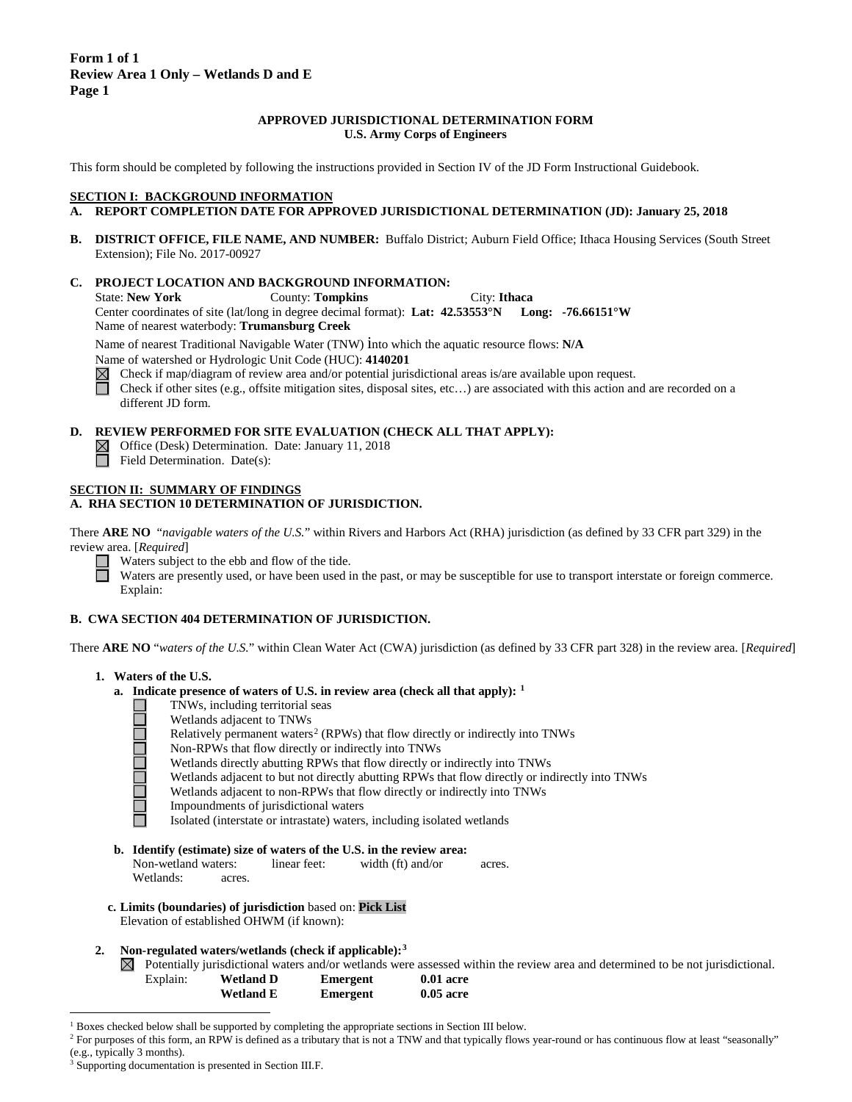### **APPROVED JURISDICTIONAL DETERMINATION FORM U.S. Army Corps of Engineers**

This form should be completed by following the instructions provided in Section IV of the JD Form Instructional Guidebook.

### **SECTION I: BACKGROUND INFORMATION**

- **A. REPORT COMPLETION DATE FOR APPROVED JURISDICTIONAL DETERMINATION (JD): January 25, 2018**
- **B. DISTRICT OFFICE, FILE NAME, AND NUMBER:** Buffalo District; Auburn Field Office; Ithaca Housing Services (South Street Extension); File No. 2017-00927

#### **C. PROJECT LOCATION AND BACKGROUND INFORMATION:**

State: **New York** County: **Tompkins** City: **Ithaca** Center coordinates of site (lat/long in degree decimal format): **Lat: 42.53553°N Long: -76.66151°W** Name of nearest waterbody: **Trumansburg Creek**

Name of nearest Traditional Navigable Water (TNW) into which the aquatic resource flows: **N/A**

Name of watershed or Hydrologic Unit Code (HUC): **4140201**

Check if map/diagram of review area and/or potential jurisdictional areas is/are available upon request. 帀

Check if other sites (e.g., offsite mitigation sites, disposal sites, etc…) are associated with this action and are recorded on a different JD form.

#### **D. REVIEW PERFORMED FOR SITE EVALUATION (CHECK ALL THAT APPLY):**

- Office (Desk) Determination. Date: January 11, 2018  $\boxtimes$
- $\overline{\Box}$  Field Determination. Date(s):

## **SECTION II: SUMMARY OF FINDINGS**

## **A. RHA SECTION 10 DETERMINATION OF JURISDICTION.**

There **ARE NO** "*navigable waters of the U.S.*" within Rivers and Harbors Act (RHA) jurisdiction (as defined by 33 CFR part 329) in the review area. [*Required*]

Waters subject to the ebb and flow of the tide.

Waters are presently used, or have been used in the past, or may be susceptible for use to transport interstate or foreign commerce. Explain:

### **B. CWA SECTION 404 DETERMINATION OF JURISDICTION.**

There **ARE NO** "*waters of the U.S.*" within Clean Water Act (CWA) jurisdiction (as defined by 33 CFR part 328) in the review area. [*Required*]

#### **1. Waters of the U.S.**

 $\Box$ 

- **a. Indicate presence of waters of U.S. in review area (check all that apply): [1](#page-0-0)**
	- TNWs, including territorial seas
	- Wetlands adjacent to TNWs
	- Relatively permanent waters<sup>[2](#page-0-1)</sup> (RPWs) that flow directly or indirectly into TNWs
	- Non-RPWs that flow directly or indirectly into TNWs
		- Wetlands directly abutting RPWs that flow directly or indirectly into TNWs
	- Wetlands adjacent to but not directly abutting RPWs that flow directly or indirectly into TNWs
	- Wetlands adjacent to non-RPWs that flow directly or indirectly into TNWs
	- Impoundments of jurisdictional waters
	- Isolated (interstate or intrastate) waters, including isolated wetlands
- **b. Identify (estimate) size of waters of the U.S. in the review area:**
	- Non-wetland waters: linear feet: width (ft) and/or acres. Wetlands: acres.
- **c. Limits (boundaries) of jurisdiction** based on: **Pick List** Elevation of established OHWM (if known):
- **2. Non-regulated waters/wetlands (check if applicable):[3](#page-0-2)**
	- $\boxtimes$  Potentially jurisdictional waters and/or wetlands were assessed within the review area and determined to be not jurisdictional.

| <b>Wetland D</b> | Emergent | $0.01$ acre |
|------------------|----------|-------------|
| <b>Wetland E</b> | Emergent | $0.05$ acre |

<span id="page-0-0"></span> <sup>1</sup> Boxes checked below shall be supported by completing the appropriate sections in Section III below.

Explain:

<span id="page-0-1"></span><sup>&</sup>lt;sup>2</sup> For purposes of this form, an RPW is defined as a tributary that is not a TNW and that typically flows year-round or has continuous flow at least "seasonally" (e.g., typically 3 months).

<span id="page-0-2"></span>Supporting documentation is presented in Section III.F.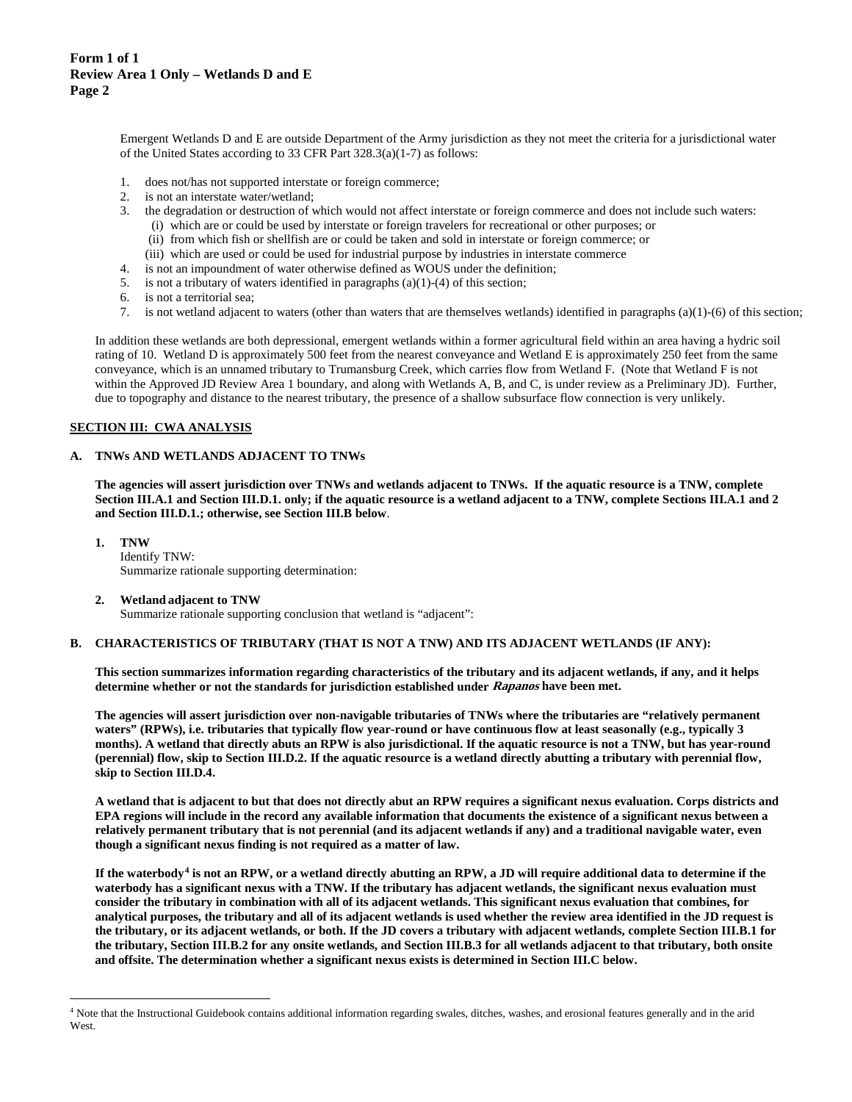Emergent Wetlands D and E are outside Department of the Army jurisdiction as they not meet the criteria for a jurisdictional water of the United States according to 33 CFR Part 328.3(a)(1-7) as follows:

- 1. does not/has not supported interstate or foreign commerce;
- 2. is not an interstate water/wetland;
- 3. the degradation or destruction of which would not affect interstate or foreign commerce and does not include such waters:
	- (i) which are or could be used by interstate or foreign travelers for recreational or other purposes; or
	- (ii) from which fish or shellfish are or could be taken and sold in interstate or foreign commerce; or
	- (iii) which are used or could be used for industrial purpose by industries in interstate commerce
- 4. is not an impoundment of water otherwise defined as WOUS under the definition;
- 5. is not a tributary of waters identified in paragraphs (a)(1)-(4) of this section;
- 6. is not a territorial sea;
- 7. is not wetland adjacent to waters (other than waters that are themselves wetlands) identified in paragraphs (a)(1)-(6) of this section;

In addition these wetlands are both depressional, emergent wetlands within a former agricultural field within an area having a hydric soil rating of 10. Wetland D is approximately 500 feet from the nearest conveyance and Wetland E is approximately 250 feet from the same conveyance, which is an unnamed tributary to Trumansburg Creek, which carries flow from Wetland F. (Note that Wetland F is not within the Approved JD Review Area 1 boundary, and along with Wetlands A, B, and C, is under review as a Preliminary JD). Further, due to topography and distance to the nearest tributary, the presence of a shallow subsurface flow connection is very unlikely.

# **SECTION III: CWA ANALYSIS**

#### **A. TNWs AND WETLANDS ADJACENT TO TNWs**

**The agencies will assert jurisdiction over TNWs and wetlands adjacent to TNWs. If the aquatic resource is a TNW, complete Section III.A.1 and Section III.D.1. only; if the aquatic resource is a wetland adjacent to a TNW, complete Sections III.A.1 and 2 and Section III.D.1.; otherwise, see Section III.B below**.

- **1. TNW**  Identify TNW: Summarize rationale supporting determination:
	-
- **2. Wetland adjacent to TNW**

Summarize rationale supporting conclusion that wetland is "adjacent":

#### **B. CHARACTERISTICS OF TRIBUTARY (THAT IS NOT A TNW) AND ITS ADJACENT WETLANDS (IF ANY):**

**This section summarizes information regarding characteristics of the tributary and its adjacent wetlands, if any, and it helps determine whether or not the standards for jurisdiction established under Rapanos have been met.** 

**The agencies will assert jurisdiction over non-navigable tributaries of TNWs where the tributaries are "relatively permanent waters" (RPWs), i.e. tributaries that typically flow year-round or have continuous flow at least seasonally (e.g., typically 3 months). A wetland that directly abuts an RPW is also jurisdictional. If the aquatic resource is not a TNW, but has year-round (perennial) flow, skip to Section III.D.2. If the aquatic resource is a wetland directly abutting a tributary with perennial flow, skip to Section III.D.4.**

**A wetland that is adjacent to but that does not directly abut an RPW requires a significant nexus evaluation. Corps districts and EPA regions will include in the record any available information that documents the existence of a significant nexus between a relatively permanent tributary that is not perennial (and its adjacent wetlands if any) and a traditional navigable water, even though a significant nexus finding is not required as a matter of law.**

**If the waterbody[4](#page-1-0) is not an RPW, or a wetland directly abutting an RPW, a JD will require additional data to determine if the waterbody has a significant nexus with a TNW. If the tributary has adjacent wetlands, the significant nexus evaluation must consider the tributary in combination with all of its adjacent wetlands. This significant nexus evaluation that combines, for analytical purposes, the tributary and all of its adjacent wetlands is used whether the review area identified in the JD request is the tributary, or its adjacent wetlands, or both. If the JD covers a tributary with adjacent wetlands, complete Section III.B.1 for the tributary, Section III.B.2 for any onsite wetlands, and Section III.B.3 for all wetlands adjacent to that tributary, both onsite and offsite. The determination whether a significant nexus exists is determined in Section III.C below.**

<span id="page-1-0"></span> <sup>4</sup> Note that the Instructional Guidebook contains additional information regarding swales, ditches, washes, and erosional features generally and in the arid West.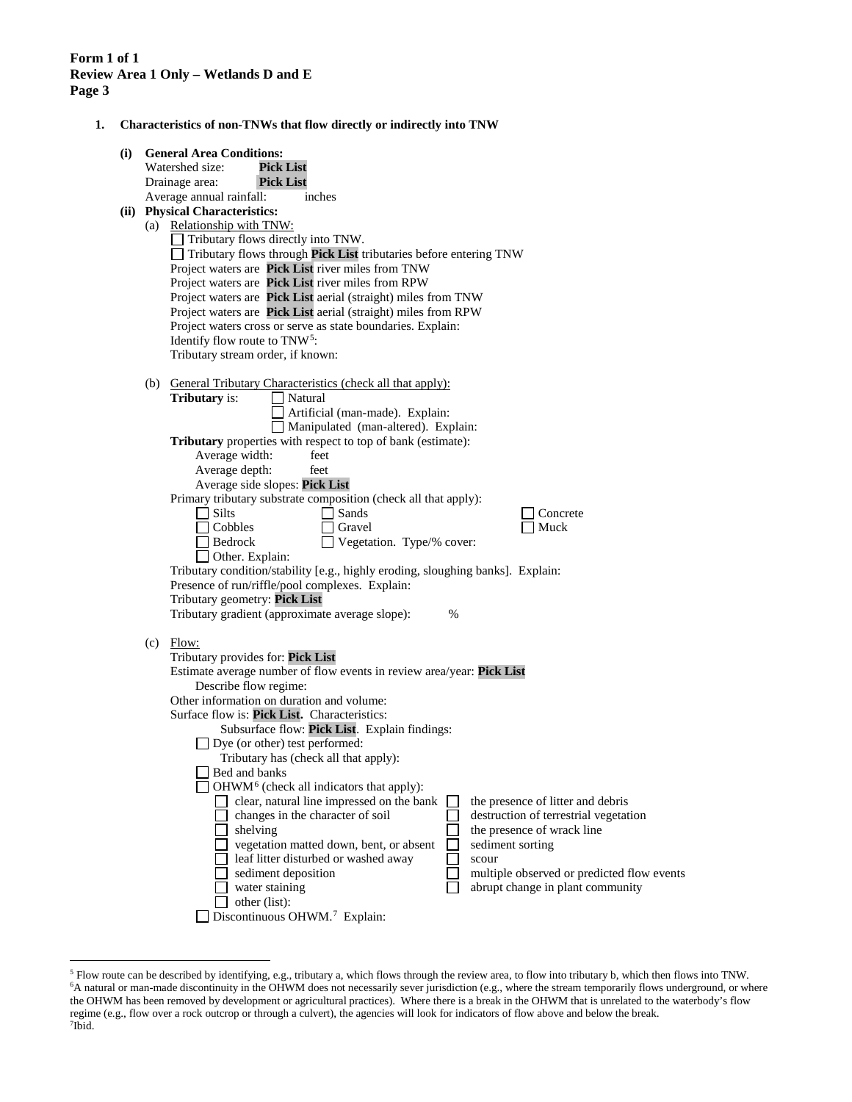**1. Characteristics of non-TNWs that flow directly or indirectly into TNW**

| (i) |     | <b>General Area Conditions:</b>                                                                              |
|-----|-----|--------------------------------------------------------------------------------------------------------------|
|     |     | Watershed size:<br>Pick List                                                                                 |
|     |     | <b>Pick List</b><br>Drainage area:                                                                           |
|     |     | Average annual rainfall:<br>inches                                                                           |
|     |     | (ii) Physical Characteristics:                                                                               |
|     |     | (a) Relationship with TNW:                                                                                   |
|     |     | Tributary flows directly into TNW.                                                                           |
|     |     | $\Box$ Tributary flows through Pick List tributaries before entering TNW                                     |
|     |     | Project waters are Pick List river miles from TNW                                                            |
|     |     | Project waters are Pick List river miles from RPW                                                            |
|     |     | Project waters are Pick List aerial (straight) miles from TNW                                                |
|     |     | Project waters are Pick List aerial (straight) miles from RPW                                                |
|     |     | Project waters cross or serve as state boundaries. Explain:                                                  |
|     |     | Identify flow route to TNW <sup>5</sup> :                                                                    |
|     |     | Tributary stream order, if known:                                                                            |
|     |     |                                                                                                              |
|     | (b) | General Tributary Characteristics (check all that apply):                                                    |
|     |     | Tributary is:<br>Natural                                                                                     |
|     |     | Artificial (man-made). Explain:                                                                              |
|     |     | Manipulated (man-altered). Explain:                                                                          |
|     |     | Tributary properties with respect to top of bank (estimate):                                                 |
|     |     | Average width:<br>feet                                                                                       |
|     |     | Average depth:<br>feet                                                                                       |
|     |     | Average side slopes: Pick List                                                                               |
|     |     | Primary tributary substrate composition (check all that apply):                                              |
|     |     | $\Box$ Silts<br>Sands<br>Concrete                                                                            |
|     |     | Muck<br>Cobbles<br>Gravel                                                                                    |
|     |     | Vegetation. Type/% cover:<br>$\sqcap$ Bedrock                                                                |
|     |     | Other. Explain:                                                                                              |
|     |     | Tributary condition/stability [e.g., highly eroding, sloughing banks]. Explain:                              |
|     |     | Presence of run/riffle/pool complexes. Explain:                                                              |
|     |     | Tributary geometry: Pick List                                                                                |
|     |     | Tributary gradient (approximate average slope):<br>$\%$                                                      |
|     |     |                                                                                                              |
|     |     | $(c)$ Flow:                                                                                                  |
|     |     | Tributary provides for: Pick List                                                                            |
|     |     | Estimate average number of flow events in review area/year: Pick List                                        |
|     |     | Describe flow regime:                                                                                        |
|     |     | Other information on duration and volume:                                                                    |
|     |     | Surface flow is: Pick List. Characteristics:                                                                 |
|     |     | Subsurface flow: Pick List. Explain findings:                                                                |
|     |     | $\Box$ Dye (or other) test performed:                                                                        |
|     |     | Tributary has (check all that apply):                                                                        |
|     |     | Bed and banks                                                                                                |
|     |     | OHWM <sup>6</sup> (check all indicators that apply):                                                         |
|     |     | clear, natural line impressed on the bank<br>the presence of litter and debris                               |
|     |     | changes in the character of soil<br>destruction of terrestrial vegetation                                    |
|     |     | shelving<br>the presence of wrack line                                                                       |
|     |     | vegetation matted down, bent, or absent<br>sediment sorting<br>leaf litter disturbed or washed away<br>scour |
|     |     | sediment deposition<br>multiple observed or predicted flow events                                            |
|     |     | water staining<br>abrupt change in plant community                                                           |
|     |     | other (list):                                                                                                |
|     |     | Discontinuous OHWM. <sup>7</sup> Explain:                                                                    |
|     |     |                                                                                                              |

<span id="page-2-2"></span><span id="page-2-1"></span><span id="page-2-0"></span> <sup>5</sup> Flow route can be described by identifying, e.g., tributary a, which flows through the review area, to flow into tributary b, which then flows into TNW. 6 A natural or man-made discontinuity in the OHWM does not necessarily sever jurisdiction (e.g., where the stream temporarily flows underground, or where the OHWM has been removed by development or agricultural practices). Where there is a break in the OHWM that is unrelated to the waterbody's flow regime (e.g., flow over a rock outcrop or through a culvert), the agencies will look for indicators of flow above and below the break. 7 Ibid.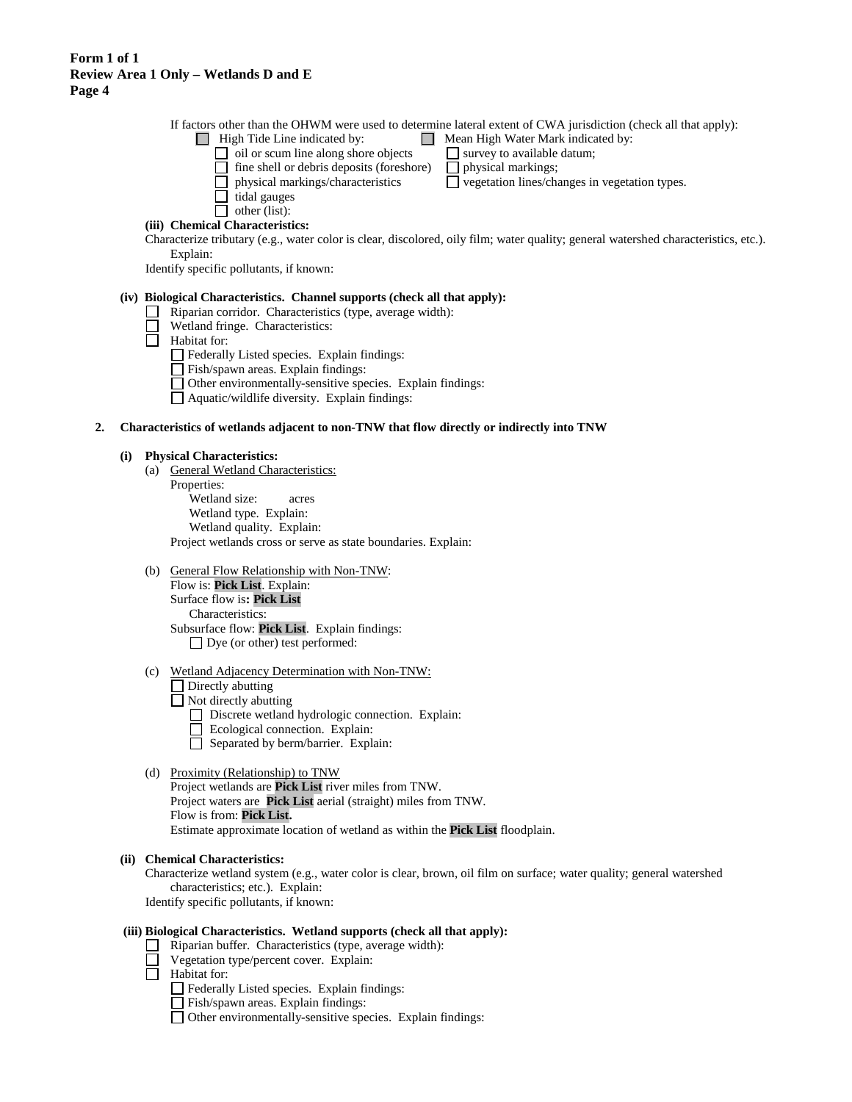If factors other than the OHWM were used to determine lateral extent of CWA jurisdiction (check all that apply):

- $\Box$  High Tide Line indicated by:  $\Box$  Mean High Water Mark indicated by:
	-
	-
	- $\Box$  oil or scum line along shore objects  $\Box$  survey to available datum;<br> $\Box$  fine shell or debris deposits (foreshore)  $\Box$  physical markings;
	- $\Box$  fine shell or debris deposits (foreshore)  $\Box$  physical markings;<br> $\Box$  physical markings/characteristics  $\Box$  vegetation lines/characteristics
	- $\Box$  tidal gauges
	- $\Box$  other (list):
- $\square$  vegetation lines/changes in vegetation types.

**(iii) Chemical Characteristics:** Characterize tributary (e.g., water color is clear, discolored, oily film; water quality; general watershed characteristics, etc.).

Explain: Identify specific pollutants, if known:

## **(iv) Biological Characteristics. Channel supports (check all that apply):**

- Riparian corridor. Characteristics (type, average width):
- Wetland fringe. Characteristics:
- $\Box$  Habitat for:

Federally Listed species. Explain findings:

- Fish/spawn areas. Explain findings:
- Other environmentally-sensitive species. Explain findings:
- Aquatic/wildlife diversity. Explain findings:

### **2. Characteristics of wetlands adjacent to non-TNW that flow directly or indirectly into TNW**

#### **(i) Physical Characteristics:**

- (a) General Wetland Characteristics: Properties: Wetland size: acres Wetland type. Explain: Wetland quality. Explain: Project wetlands cross or serve as state boundaries. Explain:
- (b) General Flow Relationship with Non-TNW: Flow is: **Pick List**. Explain: Surface flow is**: Pick List**  Characteristics: Subsurface flow: **Pick List**. Explain findings: Dye (or other) test performed:
- (c) Wetland Adjacency Determination with Non-TNW:
	- □ Directly abutting
	- $\Box$  Not directly abutting
		- Discrete wetland hydrologic connection. Explain:
		- Ecological connection. Explain:
		- $\Box$  Separated by berm/barrier. Explain:

### (d) Proximity (Relationship) to TNW

Project wetlands are **Pick List** river miles from TNW. Project waters are **Pick List** aerial (straight) miles from TNW. Flow is from: **Pick List.** Estimate approximate location of wetland as within the **Pick List** floodplain.

#### **(ii) Chemical Characteristics:**

Characterize wetland system (e.g., water color is clear, brown, oil film on surface; water quality; general watershed characteristics; etc.). Explain: Identify specific pollutants, if known:

### **(iii) Biological Characteristics. Wetland supports (check all that apply):**

- $\Box$  Riparian buffer. Characteristics (type, average width):
	- Vegetation type/percent cover. Explain:
- $\Box$  Habitat for:
	- Federally Listed species. Explain findings:
	- Fish/spawn areas. Explain findings:
	- Other environmentally-sensitive species. Explain findings: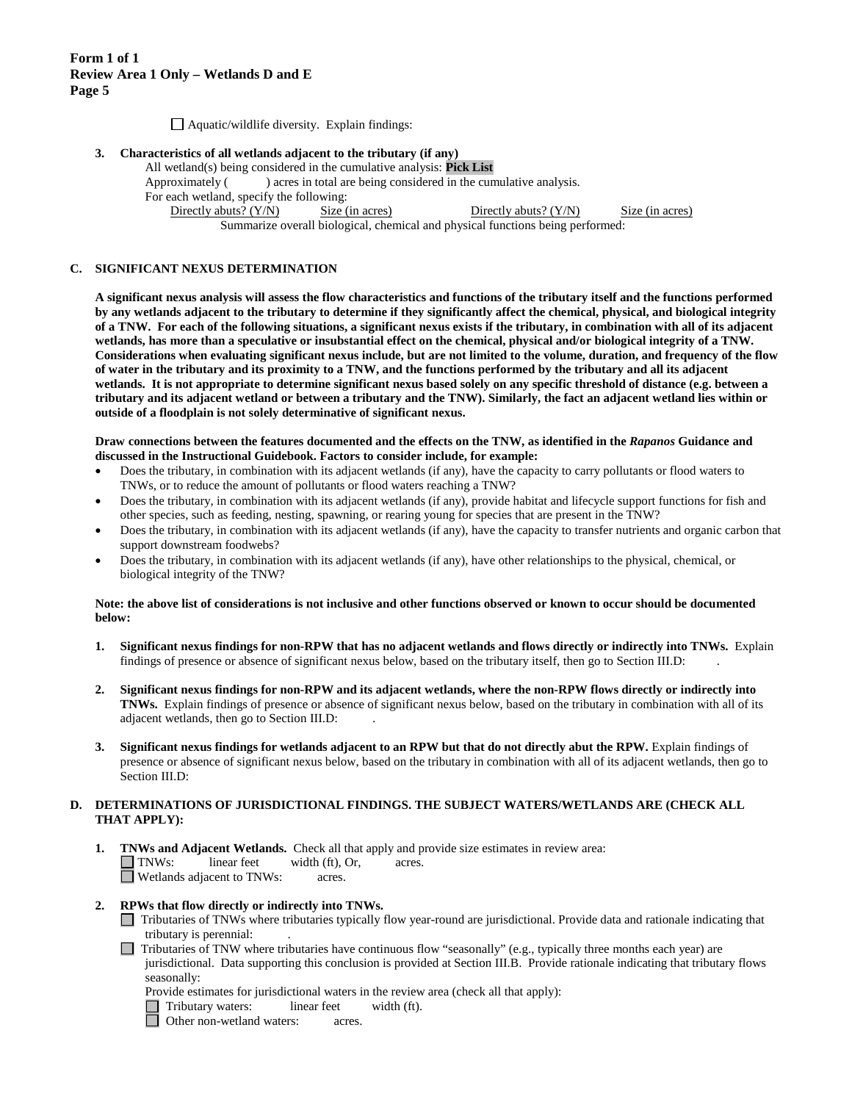$\Box$  Aquatic/wildlife diversity. Explain findings:

#### **3. Characteristics of all wetlands adjacent to the tributary (if any)**

All wetland(s) being considered in the cumulative analysis: **Pick List** Approximately () acres in total are being considered in the cumulative analysis. For each wetland, specify the following: Directly abuts? (Y/N) Size (in acres) Directly abuts? (Y/N) Size (in acres) Summarize overall biological, chemical and physical functions being performed:

## **C. SIGNIFICANT NEXUS DETERMINATION**

**A significant nexus analysis will assess the flow characteristics and functions of the tributary itself and the functions performed by any wetlands adjacent to the tributary to determine if they significantly affect the chemical, physical, and biological integrity of a TNW. For each of the following situations, a significant nexus exists if the tributary, in combination with all of its adjacent wetlands, has more than a speculative or insubstantial effect on the chemical, physical and/or biological integrity of a TNW. Considerations when evaluating significant nexus include, but are not limited to the volume, duration, and frequency of the flow of water in the tributary and its proximity to a TNW, and the functions performed by the tributary and all its adjacent wetlands. It is not appropriate to determine significant nexus based solely on any specific threshold of distance (e.g. between a tributary and its adjacent wetland or between a tributary and the TNW). Similarly, the fact an adjacent wetland lies within or outside of a floodplain is not solely determinative of significant nexus.** 

#### **Draw connections between the features documented and the effects on the TNW, as identified in the** *Rapanos* **Guidance and discussed in the Instructional Guidebook. Factors to consider include, for example:**

- Does the tributary, in combination with its adjacent wetlands (if any), have the capacity to carry pollutants or flood waters to TNWs, or to reduce the amount of pollutants or flood waters reaching a TNW?
- Does the tributary, in combination with its adjacent wetlands (if any), provide habitat and lifecycle support functions for fish and other species, such as feeding, nesting, spawning, or rearing young for species that are present in the TNW?
- Does the tributary, in combination with its adjacent wetlands (if any), have the capacity to transfer nutrients and organic carbon that support downstream foodwebs?
- Does the tributary, in combination with its adjacent wetlands (if any), have other relationships to the physical, chemical, or biological integrity of the TNW?

#### **Note: the above list of considerations is not inclusive and other functions observed or known to occur should be documented below:**

- **1. Significant nexus findings for non-RPW that has no adjacent wetlands and flows directly or indirectly into TNWs.** Explain findings of presence or absence of significant nexus below, based on the tributary itself, then go to Section III.D: .
- **2. Significant nexus findings for non-RPW and its adjacent wetlands, where the non-RPW flows directly or indirectly into TNWs.** Explain findings of presence or absence of significant nexus below, based on the tributary in combination with all of its adjacent wetlands, then go to Section III.D: .
- **3. Significant nexus findings for wetlands adjacent to an RPW but that do not directly abut the RPW.** Explain findings of presence or absence of significant nexus below, based on the tributary in combination with all of its adjacent wetlands, then go to Section III.D:

#### **D. DETERMINATIONS OF JURISDICTIONAL FINDINGS. THE SUBJECT WATERS/WETLANDS ARE (CHECK ALL THAT APPLY):**

**1. TNWs and Adjacent Wetlands.** Check all that apply and provide size estimates in review area: TNWs: linear feet width (ft), Or, acres. □ Wetlands adjacent to TNWs: acres.

### **2. RPWs that flow directly or indirectly into TNWs.**

- Tributaries of TNWs where tributaries typically flow year-round are jurisdictional. Provide data and rationale indicating that tributary is perennial: .
- Tributaries of TNW where tributaries have continuous flow "seasonally" (e.g., typically three months each year) are jurisdictional. Data supporting this conclusion is provided at Section III.B. Provide rationale indicating that tributary flows seasonally:

Provide estimates for jurisdictional waters in the review area (check all that apply):

Tributary waters: linear feet width (ft).<br>
Other non-wetland waters: acres.

Other non-wetland waters: acres.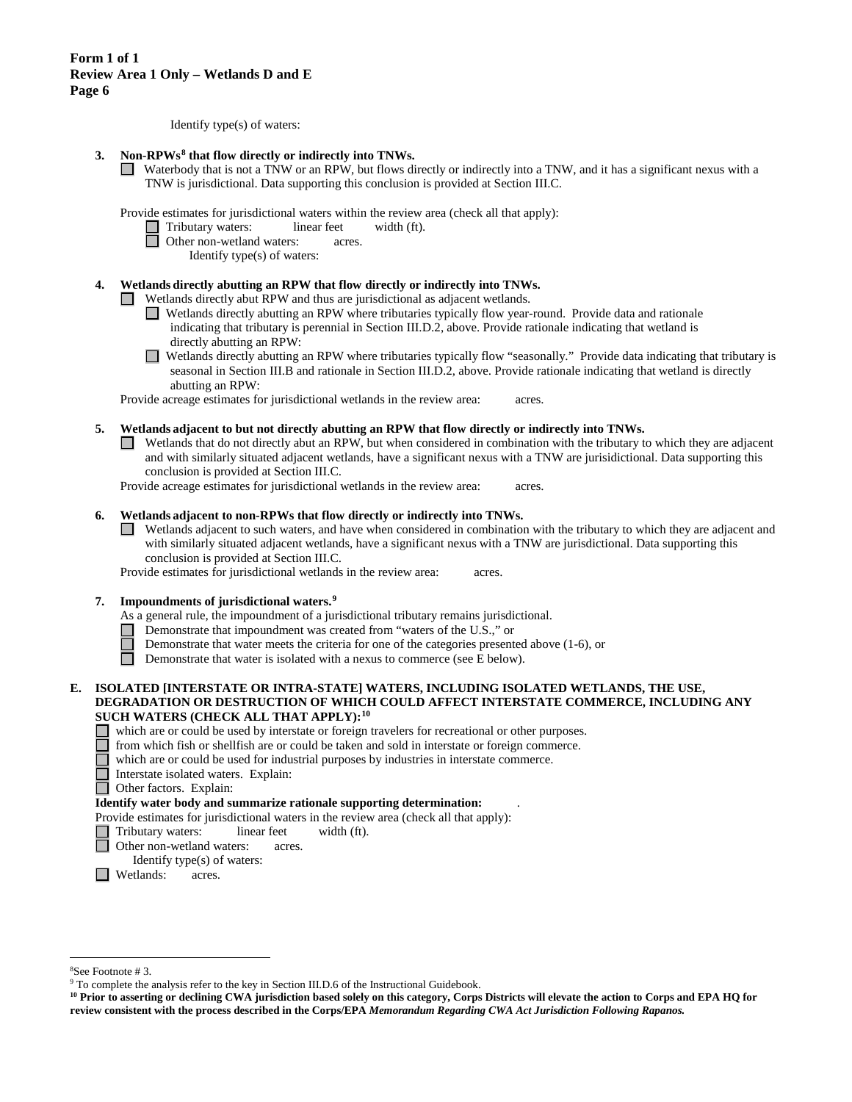Identify type(s) of waters:

- **3. Non-RPWs[8](#page-5-0) that flow directly or indirectly into TNWs.**
	- Waterbody that is not a TNW or an RPW, but flows directly or indirectly into a TNW, and it has a significant nexus with a TNW is jurisdictional. Data supporting this conclusion is provided at Section III.C.

Provide estimates for jurisdictional waters within the review area (check all that apply):

- Tributary waters: linear feet width (ft).<br>
Other non-wetland waters: acres.
	- Other non-wetland waters: acres.
		- Identify type(s) of waters:

### **4. Wetlands directly abutting an RPW that flow directly or indirectly into TNWs.**

Wetlands directly abut RPW and thus are jurisdictional as adjacent wetlands.

- Wetlands directly abutting an RPW where tributaries typically flow year-round. Provide data and rationale indicating that tributary is perennial in Section III.D.2, above. Provide rationale indicating that wetland is directly abutting an RPW:
- Wetlands directly abutting an RPW where tributaries typically flow "seasonally." Provide data indicating that tributary is seasonal in Section III.B and rationale in Section III.D.2, above. Provide rationale indicating that wetland is directly abutting an RPW:

Provide acreage estimates for jurisdictional wetlands in the review area: acres.

- **5. Wetlands adjacent to but not directly abutting an RPW that flow directly or indirectly into TNWs.**
	- $\Box$  Wetlands that do not directly abut an RPW, but when considered in combination with the tributary to which they are adjacent and with similarly situated adjacent wetlands, have a significant nexus with a TNW are jurisidictional. Data supporting this conclusion is provided at Section III.C.

Provide acreage estimates for jurisdictional wetlands in the review area: acres.

#### **6. Wetlands adjacent to non-RPWs that flow directly or indirectly into TNWs.**

Wetlands adjacent to such waters, and have when considered in combination with the tributary to which they are adjacent and  $\Box$ with similarly situated adjacent wetlands, have a significant nexus with a TNW are jurisdictional. Data supporting this conclusion is provided at Section III.C.

Provide estimates for jurisdictional wetlands in the review area: acres.

#### **7. Impoundments of jurisdictional waters. [9](#page-5-1)**

- As a general rule, the impoundment of a jurisdictional tributary remains jurisdictional.
- Demonstrate that impoundment was created from "waters of the U.S.," or
- Demonstrate that water meets the criteria for one of the categories presented above (1-6), or
- Ħ Demonstrate that water is isolated with a nexus to commerce (see E below).

### **E. ISOLATED [INTERSTATE OR INTRA-STATE] WATERS, INCLUDING ISOLATED WETLANDS, THE USE, DEGRADATION OR DESTRUCTION OF WHICH COULD AFFECT INTERSTATE COMMERCE, INCLUDING ANY SUCH WATERS (CHECK ALL THAT APPLY):[10](#page-5-2)**

- which are or could be used by interstate or foreign travelers for recreational or other purposes.
	- from which fish or shellfish are or could be taken and sold in interstate or foreign commerce.
	- which are or could be used for industrial purposes by industries in interstate commerce.
	- Interstate isolated waters.Explain:
- **Other factors. Explain:**

### **Identify water body and summarize rationale supporting determination:** .

- Provide estimates for jurisdictional waters in the review area (check all that apply):
- Tributary waters: linear feet width (ft).
- Other non-wetland waters: acres.

**Netlands:** acres.

Identify type(s) of waters:

 <sup>8</sup>

<span id="page-5-1"></span><span id="page-5-0"></span><sup>&</sup>lt;sup>8</sup>See Footnote # 3.<br><sup>9</sup> To complete the analysis refer to the key in Section III.D.6 of the Instructional Guidebook.

<span id="page-5-2"></span>**<sup>10</sup> Prior to asserting or declining CWA jurisdiction based solely on this category, Corps Districts will elevate the action to Corps and EPA HQ for review consistent with the process described in the Corps/EPA** *Memorandum Regarding CWA Act Jurisdiction Following Rapanos.*